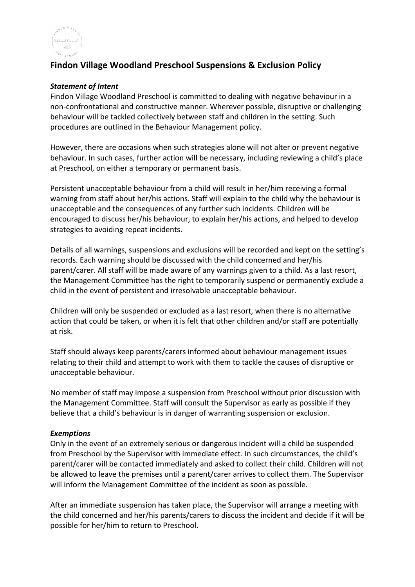

# **Findon Village Woodland Preschool Suspensions & Exclusion Policy**

#### *Statement of Intent*

Findon Village Woodland Preschool is committed to dealing with negative behaviour in a non-confrontational and constructive manner. Wherever possible, disruptive or challenging behaviour will be tackled collectively between staff and children in the setting. Such procedures are outlined in the Behaviour Management policy.

However, there are occasions when such strategies alone will not alter or prevent negative behaviour. In such cases, further action will be necessary, including reviewing a child's place at Preschool, on either a temporary or permanent basis.

Persistent unacceptable behaviour from a child will result in her/him receiving a formal warning from staff about her/his actions. Staff will explain to the child why the behaviour is unacceptable and the consequences of any further such incidents. Children will be encouraged to discuss her/his behaviour, to explain her/his actions, and helped to develop strategies to avoiding repeat incidents.

Details of all warnings, suspensions and exclusions will be recorded and kept on the setting's records. Each warning should be discussed with the child concerned and her/his parent/carer. All staff will be made aware of any warnings given to a child. As a last resort, the Management Committee has the right to temporarily suspend or permanently exclude a child in the event of persistent and irresolvable unacceptable behaviour.

Children will only be suspended or excluded as a last resort, when there is no alternative action that could be taken, or when it is felt that other children and/or staff are potentially at risk.

Staff should always keep parents/carers informed about behaviour management issues relating to their child and attempt to work with them to tackle the causes of disruptive or unacceptable behaviour.

No member of staff may impose a suspension from Preschool without prior discussion with the Management Committee. Staff will consult the Supervisor as early as possible if they believe that a child's behaviour is in danger of warranting suspension or exclusion.

#### *Exemptions*

Only in the event of an extremely serious or dangerous incident will a child be suspended from Preschool by the Supervisor with immediate effect. In such circumstances, the child's parent/carer will be contacted immediately and asked to collect their child. Children will not be allowed to leave the premises until a parent/carer arrives to collect them. The Supervisor will inform the Management Committee of the incident as soon as possible.

After an immediate suspension has taken place, the Supervisor will arrange a meeting with the child concerned and her/his parents/carers to discuss the incident and decide if it will be possible for her/him to return to Preschool.